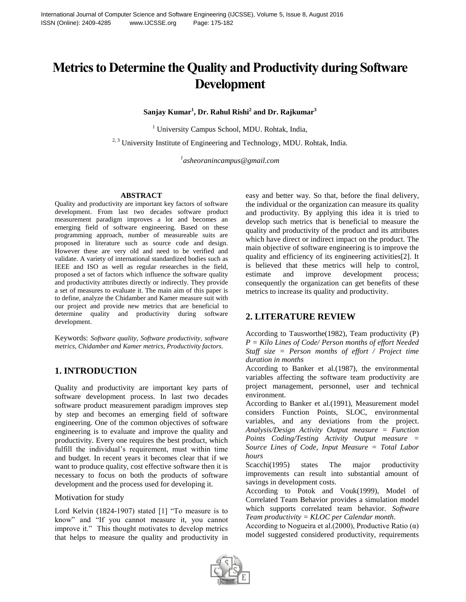# **Metrics to Determine the Quality and Productivity during Software Development**

**Sanjay Kumar<sup>1</sup> , Dr. Rahul Rishi<sup>2</sup> and Dr. Rajkumar<sup>3</sup>**

<sup>1</sup> University Campus School, MDU. Rohtak, India,

 $2,3$  University Institute of Engineering and Technology, MDU. Rohtak, India.

*1 asheoranincampus@gmail.com*

#### **ABSTRACT**

Quality and productivity are important key factors of software development. From last two decades software product measurement paradigm improves a lot and becomes an emerging field of software engineering. Based on these programming approach, number of measureable suits are proposed in literature such as source code and design. However these are very old and need to be verified and validate. A variety of international standardized bodies such as IEEE and ISO as well as regular researches in the field, proposed a set of factors which influence the software quality and productivity attributes directly or indirectly. They provide a set of measures to evaluate it. The main aim of this paper is to define, analyze the Chidamber and Kamer measure suit with our project and provide new metrics that are beneficial to determine quality and productivity during software development.

Keywords: *Software quality, Software productivity, software metrics, Chidamber and Kamer metrics, Productivity factors.*

## **1. INTRODUCTION**

Quality and productivity are important key parts of software development process. In last two decades software product measurement paradigm improves step by step and becomes an emerging field of software engineering. One of the common objectives of software engineering is to evaluate and improve the quality and productivity. Every one requires the best product, which fulfill the individual's requirement, must within time and budget. In recent years it becomes clear that if we want to produce quality, cost effective software then it is necessary to focus on both the products of software development and the process used for developing it.

#### Motivation for study

Lord Kelvin (1824-1907) stated [1] "To measure is to know" and "If you cannot measure it, you cannot improve it." This thought motivates to develop metrics that helps to measure the quality and productivity in easy and better way. So that, before the final delivery, the individual or the organization can measure its quality and productivity. By applying this idea it is tried to develop such metrics that is beneficial to measure the quality and productivity of the product and its attributes which have direct or indirect impact on the product. The main objective of software engineering is to improve the quality and efficiency of its engineering activities[2]. It is believed that these metrics will help to control, estimate and improve development process; consequently the organization can get benefits of these metrics to increase its quality and productivity.

## **2. LITERATURE REVIEW**

According to Tausworthe(1982), Team productivity (P) *P = Kilo Lines of Code/ Person months of effort Needed Staff size = Person months of effort / Project time duration in months* 

According to Banker et al.(1987), the environmental variables affecting the software team productivity are project management, personnel, user and technical environment.

According to Banker et al.(1991), Measurement model considers Function Points, SLOC, environmental variables, and any deviations from the project. *Analysis/Design Activity Output measure = Function Points Coding/Testing Activity Output measure = Source Lines of Code, Input Measure = Total Labor hours* 

Scacchi(1995) states The major productivity improvements can result into substantial amount of savings in development costs.

According to Potok and Vouk(1999), Model of Correlated Team Behavior provides a simulation model which supports correlated team behavior. *Software Team productivity = KLOC per Calendar month*.

According to Nogueira et al.(2000), Productive Ratio  $(\alpha)$ model suggested considered productivity, requirements

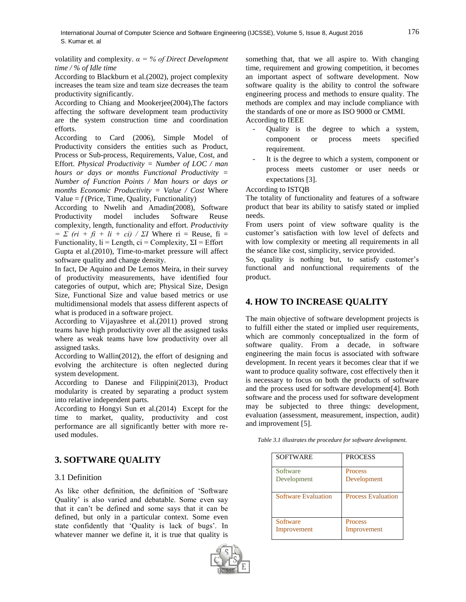volatility and complexity. *α = % of Direct Development time / % of Idle time* 

According to Blackburn et al.(2002), project complexity increases the team size and team size decreases the team productivity significantly.

According to Chiang and Mookerjee(2004),The factors affecting the software development team productivity are the system construction time and coordination efforts.

According to Card (2006), Simple Model of Productivity considers the entities such as Product, Process or Sub-process, Requirements, Value, Cost, and Effort. *Physical Productivity = Number of LOC / man hours or days or months Functional Productivity = Number of Function Points / Man hours or days or months Economic Productivity = Value / Cost* Where Value  $= f$  (Price, Time, Quality, Functionality)

According to Nwelih and Amadin(2008), Software Productivity model includes Software Reuse complexity, length, functionality and effort. *Productivity*   $= \sum (ri + fi + li + ci) / \sum I$  Where ri = Reuse, fi = Functionality,  $\text{li} = \text{Length}$ ,  $\text{ci} = \text{Complexity}$ ,  $\Sigma \text{I} = \text{Effort}$ 

Gupta et al.(2010), Time-to-market pressure will affect software quality and change density.

In fact, De Aquino and De Lemos Meira, in their survey of productivity measurements, have identified four categories of output, which are; Physical Size, Design Size, Functional Size and value based metrics or use multidimensional models that assess different aspects of what is produced in a software project.

According to Vijayashree et al.(2011) proved strong teams have high productivity over all the assigned tasks where as weak teams have low productivity over all assigned tasks.

According to Wallin(2012), the effort of designing and evolving the architecture is often neglected during system development.

According to Danese and Filippini(2013), Product modularity is created by separating a product system into relative independent parts.

According to Hongyi Sun et al.(2014) Except for the time to market, quality, productivity and cost performance are all significantly better with more reused modules.

# **3. SOFTWARE QUALITY**

## 3.1 Definition

As like other definition, the definition of "Software Quality" is also varied and debatable. Some even say that it can"t be defined and some says that it can be defined, but only in a particular context. Some even state confidently that 'Quality is lack of bugs'. In whatever manner we define it, it is true that quality is



something that, that we all aspire to. With changing time, requirement and growing competition, it becomes an important aspect of software development. Now software quality is the ability to control the software engineering process and methods to ensure quality. The methods are complex and may include compliance with the standards of one or more as ISO 9000 or CMMI. According to IEEE

- Quality is the degree to which a system, component or process meets specified requirement.
- It is the degree to which a system, component or process meets customer or user needs or expectations [3].

According to ISTQB

The totality of functionality and features of a software product that bear its ability to satisfy stated or implied needs.

From users point of view software quality is the customer"s satisfaction with low level of defects and with low complexity or meeting all requirements in all the séance like cost, simplicity, service provided.

So, quality is nothing but, to satisfy customer's functional and nonfunctional requirements of the product.

# **4. HOW TO INCREASE QUALITY**

The main objective of software development projects is to fulfill either the stated or implied user requirements, which are commonly conceptualized in the form of software quality. From a decade, in software engineering the main focus is associated with software development. In recent years it becomes clear that if we want to produce quality software, cost effectively then it is necessary to focus on both the products of software and the process used for software development[4]. Both software and the process used for software development may be subjected to three things: development, evaluation (assessment, measurement, inspection, audit) and improvement [5].

| Table 3.1 illustrates the procedure for software development. |  |  |  |
|---------------------------------------------------------------|--|--|--|
|                                                               |  |  |  |

| <b>SOFTWARE</b>            | <b>PROCESS</b>            |
|----------------------------|---------------------------|
| Software                   | <b>Process</b>            |
| Development                | Development               |
| <b>Software Evaluation</b> | <b>Process Evaluation</b> |
| Software                   | <b>Process</b>            |
| Improvement                | Improvement               |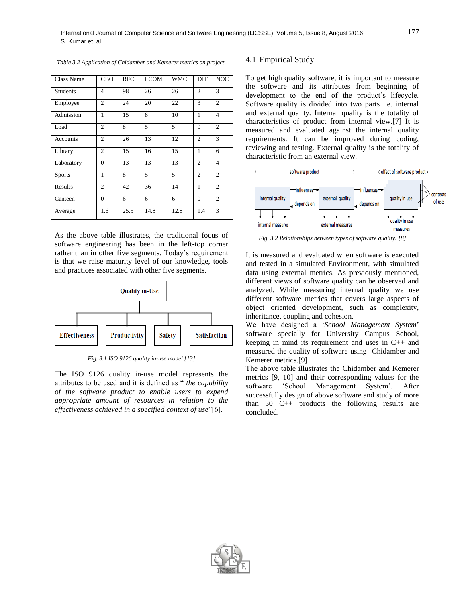| Class Name      | <b>CBO</b>     | <b>RFC</b> | <b>LCOM</b> | <b>WMC</b> | DIT            | <b>NOC</b>     |
|-----------------|----------------|------------|-------------|------------|----------------|----------------|
| <b>Students</b> | 4              | 98         | 26          | 26         | 2              | 3              |
| Employee        | $\overline{2}$ | 24         | 20          | 22         | 3              | $\overline{c}$ |
| Admission       | 1              | 15         | 8           | 10         | 1              | $\overline{4}$ |
| Load            | $\overline{c}$ | 8          | 5           | 5          | $\Omega$       | $\overline{2}$ |
| Accounts        | $\overline{c}$ | 26         | 13          | 12         | $\overline{c}$ | 3              |
| Library         | $\overline{2}$ | 15         | 16          | 15         | 1              | 6              |
| Laboratory      | $\overline{0}$ | 13         | 13          | 13         | $\overline{c}$ | $\overline{4}$ |
| <b>Sports</b>   | 1              | 8          | 5           | 5          | $\mathfrak{2}$ | $\overline{2}$ |
| Results         | $\overline{2}$ | 42         | 36          | 14         | 1              | $\overline{2}$ |
| Canteen         | $\theta$       | 6          | 6           | 6          | $\Omega$       | $\overline{2}$ |
| Average         | 1.6            | 25.5       | 14.8        | 12.8       | 1.4            | 3              |

*Table 3.2 Application of Chidamber and Kemerer metrics on project.*

As the above table illustrates, the traditional focus of software engineering has been in the left-top corner rather than in other five segments. Today"s requirement is that we raise maturity level of our knowledge, tools and practices associated with other five segments.



*Fig. 3.1 ISO 9126 quality in-use model [13]*

The ISO 9126 quality in-use model represents the attributes to be used and it is defined as " *the capability of the software product to enable users to expend appropriate amount of resources in relation to the effectiveness achieved in a specified context of use*"[6].

#### 4.1 Empirical Study

To get high quality software, it is important to measure the software and its attributes from beginning of development to the end of the product's lifecycle. Software quality is divided into two parts i.e. internal and external quality. Internal quality is the totality of characteristics of product from internal view.[7] It is measured and evaluated against the internal quality requirements. It can be improved during coding, reviewing and testing. External quality is the totality of characteristic from an external view.



*Fig. 3.2 Relationships between types of software quality. [8]*

It is measured and evaluated when software is executed and tested in a simulated Environment, with simulated data using external metrics. As previously mentioned, different views of software quality can be observed and analyzed. While measuring internal quality we use different software metrics that covers large aspects of object oriented development, such as complexity, inheritance, coupling and cohesion.

We have designed a "*School Management System*" software specially for University Campus School, keeping in mind its requirement and uses in C++ and measured the quality of software using Chidamber and Kemerer metrics.[9]

The above table illustrates the Chidamber and Kemerer metrics [9, 10] and their corresponding values for the software 'School Management System'. After successfully design of above software and study of more than 30 C++ products the following results are concluded.

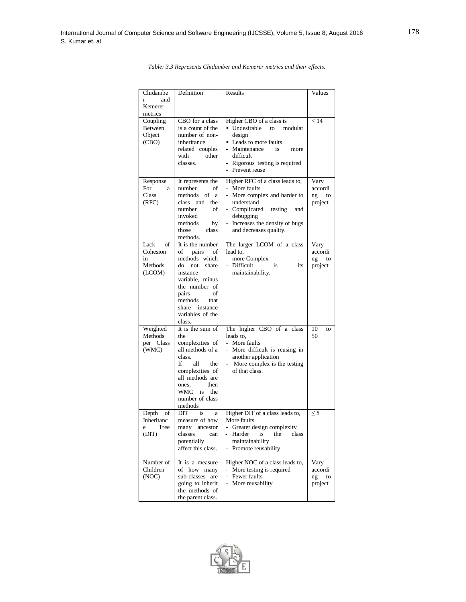| Chidambe    | Definition                         | Results                                                 | Values   |
|-------------|------------------------------------|---------------------------------------------------------|----------|
| and<br>r    |                                    |                                                         |          |
| Kemerer     |                                    |                                                         |          |
| metrics     |                                    |                                                         |          |
| Coupling    | CBO for a class                    | Higher CBO of a class is                                | < 14     |
| Between     | is a count of the                  | Undesirable<br>to<br>modular                            |          |
| Object      | number of non-                     | design                                                  |          |
| (CBO)       | inheritance                        | • Leads to more faults                                  |          |
|             | related couples                    | Maintenance<br>is<br>more                               |          |
|             | with<br>other<br>classes.          | difficult                                               |          |
|             |                                    | Rigorous testing is required<br>Prevent reuse           |          |
|             |                                    |                                                         |          |
| Response    | It represents the                  | Higher RFC of a class leads to,                         | Vary     |
| For<br>a    | number<br>of                       | More faults<br>$\overline{a}$                           | accordi  |
| Class       | methods<br>of a                    | $\mathbb{Z}^{\mathbb{Z}}$<br>More complex and harder to | ng<br>to |
| (RFC)       | class and<br>the                   | understand                                              | project  |
|             | of<br>number<br>invoked            | - Complicated<br>testing<br>and<br>debugging            |          |
|             | methods<br>by                      | Increases the density of bugs                           |          |
|             | those<br>class                     | and decreases quality.                                  |          |
|             | methods.                           |                                                         |          |
| Lack<br>of  | It is the number                   | The larger LCOM of a class                              | Vary     |
| Cohesion    | of<br>pairs<br>of                  | lead to,                                                | accordi  |
| in          | methods which                      | $\mathbb{Z}^{\mathbb{Z}}$<br>more Complex               | ng<br>to |
| Methods     | share<br>do not                    | Difficult<br>is<br>its                                  | project  |
| (LCOM)      | instance                           | maintainability.                                        |          |
|             | variable, minus                    |                                                         |          |
|             | the number of<br>οf                |                                                         |          |
|             | pairs<br>methods<br>that           |                                                         |          |
|             | share<br>instance                  |                                                         |          |
|             | variables of the                   |                                                         |          |
|             | class.                             |                                                         |          |
| Weighted    | It is the sum of                   | The higher CBO of a class                               | 10<br>to |
| Methods     | the                                | leads to.                                               | 50       |
| per Class   | complexities of                    | $\overline{a}$<br>More faults                           |          |
| (WMC)       | all methods of a                   | $\overline{a}$<br>More difficult is reusing in          |          |
|             | class.                             | another application                                     |          |
|             | If<br>all<br>the                   | - More complex is the testing                           |          |
|             | complexities of<br>all methods are | of that class.                                          |          |
|             | then<br>ones,                      |                                                         |          |
|             | WMC<br>is<br>the                   |                                                         |          |
|             | number of class                    |                                                         |          |
|             | methods                            |                                                         |          |
| Depth<br>οf | DIT<br>is<br>a                     | Higher DIT of a class leads to,                         | $\leq$ 5 |
| Inheritanc  | measure of how                     | More faults                                             |          |
| Tree<br>e   | many ancestor                      | - Greater design complexity                             |          |
| (DIT)       | classes<br>can                     | - Harder<br>is<br>the<br>class                          |          |
|             | potentially                        | maintainability                                         |          |
|             | affect this class.                 | Promote reusability                                     |          |
| Number of   | It is a measure                    | Higher NOC of a class leads to,                         | Vary     |
| Children    | of how many                        | More testing is required                                | accordi  |
| (NOC)       | sub-classes are                    | Fewer faults                                            | ng<br>to |
|             | going to inherit                   | More reusability                                        | project  |
|             | the methods of                     |                                                         |          |
|             | the parent class.                  |                                                         |          |

*Table: 3.3 Represents Chidamber and Kemerer metrics and their effects.*

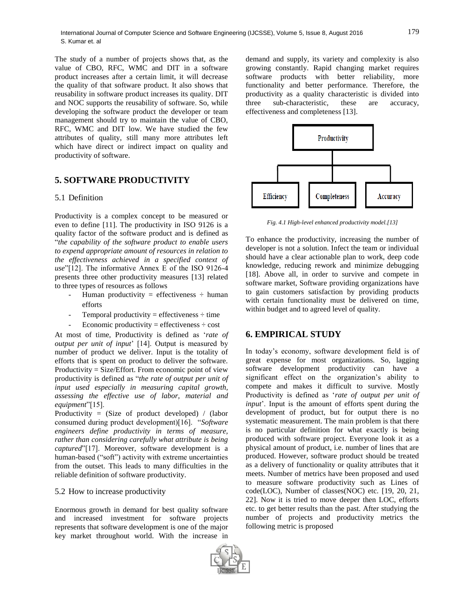The study of a number of projects shows that, as the value of CBO, RFC, WMC and DIT in a software product increases after a certain limit, it will decrease the quality of that software product. It also shows that reusability in software product increases its quality. DIT and NOC supports the reusability of software. So, while developing the software product the developer or team management should try to maintain the value of CBO, RFC, WMC and DIT low. We have studied the few attributes of quality, still many more attributes left which have direct or indirect impact on quality and productivity of software.

## **5. SOFTWARE PRODUCTIVITY**

#### 5.1 Definition

Productivity is a complex concept to be measured or even to define [11]. The productivity in ISO 9126 is a quality factor of the software product and is defined as "*the capability of the software product to enable users to expend appropriate amount of resources in relation to the effectiveness achieved in a specified context of use*"[12]. The informative Annex E of the ISO 9126-4 presents three other productivity measures [13] related to three types of resources as follows

- Human productivity = effectiveness  $\div$  human efforts
- Temporal productivity = effectiveness  $\div$  time
- Economic productivity = effectiveness  $\div$  cost

At most of time, Productivity is defined as "*rate of output per unit of input*" [14]. Output is measured by number of product we deliver. Input is the totality of efforts that is spent on product to deliver the software. Productivity = Size/Effort. From economic point of view productivity is defined as "*the rate of output per unit of input used especially in measuring capital growth, assessing the effective use of labor, material and equipment*"[15].

Productivity = (Size of product developed) / (labor consumed during product development)[16]. "*Software engineers define productivity in terms of measure, rather than considering carefully what attribute is being captured*"[17]. Moreover, software development is a human-based ("soft") activity with extreme uncertainties from the outset. This leads to many difficulties in the reliable definition of software productivity.

#### 5.2 How to increase productivity

Enormous growth in demand for best quality software and increased investment for software projects represents that software development is one of the major key market throughout world. With the increase in

demand and supply, its variety and complexity is also growing constantly. Rapid changing market requires software products with better reliability, more functionality and better performance. Therefore, the productivity as a quality characteristic is divided into three sub-characteristic, these are accuracy, effectiveness and completeness [13].



*Fig. 4.1 High-level enhanced productivity model.[13]*

To enhance the productivity, increasing the number of developer is not a solution. Infect the team or individual should have a clear actionable plan to work, deep code knowledge, reducing rework and minimize debugging [18]. Above all, in order to survive and compete in software market, Software providing organizations have to gain customers satisfaction by providing products with certain functionality must be delivered on time, within budget and to agreed level of quality.

## **6. EMPIRICAL STUDY**

In today"s economy, software development field is of great expense for most organizations. So, lagging software development productivity can have a significant effect on the organization's ability to compete and makes it difficult to survive. Mostly Productivity is defined as "*rate of output per unit of input*'. Input is the amount of efforts spent during the development of product, but for output there is no systematic measurement. The main problem is that there is no particular definition for what exactly is being produced with software project. Everyone look it as a physical amount of product, i.e. number of lines that are produced. However, software product should be treated as a delivery of functionality or quality attributes that it meets. Number of metrics have been proposed and used to measure software productivity such as Lines of code(LOC), Number of classes(NOC) etc. [19, 20, 21, 22]. Now it is tried to move deeper then LOC, efforts etc. to get better results than the past. After studying the number of projects and productivity metrics the following metric is proposed



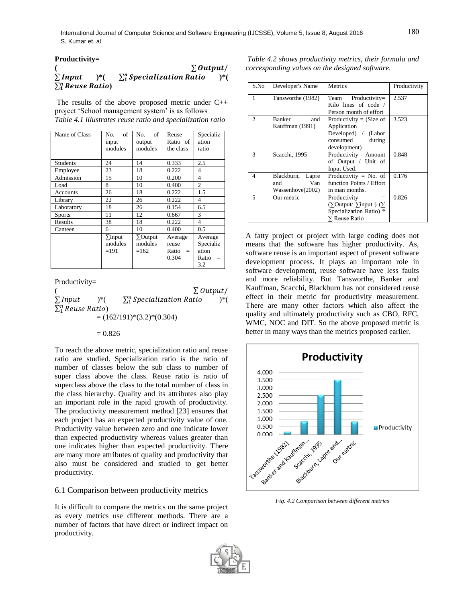**Productivity=** 

|                                 | $\sum$ Output/                      |     |
|---------------------------------|-------------------------------------|-----|
| $\Sigma$ Input<br>$\rightarrow$ | $\sum_{1}^{n}$ Specialization Ratio | )*( |
| $\sum_{1}^{n}$ Reuse Ratio)     |                                     |     |

The results of the above proposed metric under C++ project 'School management system' is as follows *Table 4.1 illustrates reuse ratio and specialization ratio*

| Name of Class   | of<br>No.<br>input<br>modules       | of<br>No.<br>output<br>modules       | Reuse<br>Ratio of<br>the class         | Specializ<br>ation<br>ratio                   |
|-----------------|-------------------------------------|--------------------------------------|----------------------------------------|-----------------------------------------------|
| <b>Students</b> | 24                                  | 14                                   | 0.333                                  | 2.5                                           |
| Employee        | 23                                  | 18                                   | 0.222                                  | 4                                             |
| Admission       | 15                                  | 10                                   | 0.200                                  | 4                                             |
| Load            | 8                                   | 10                                   | 0.400                                  | $\mathfrak{2}$                                |
| Accounts        | 26                                  | 18                                   | 0.222                                  | 1.5                                           |
| Library         | 22                                  | 26                                   | 0.222                                  | 4                                             |
| Laboratory      | 18                                  | 26                                   | 0.154                                  | 6.5                                           |
| <b>Sports</b>   | 11                                  | 12                                   | 0.667                                  | 3                                             |
| Results         | 38                                  | 18                                   | 0.222                                  | 4                                             |
| Canteen         | 6                                   | 10                                   | 0.400                                  | 0.5                                           |
|                 | $\Sigma$ Input<br>modules<br>$=191$ | $\Sigma$ Output<br>modules<br>$=162$ | Average<br>reuse<br>$Ratio =$<br>0.304 | Average<br>Specializ<br>ation<br>Ratio<br>3.2 |

Productivity=

(as a set of  $\Sigma o$  $\sum$ Input  $)^*($  $\sum_{1}^{n}$  Specialization Ratio )\*(  $\sum_1^n Reuse$  Ratio)  $= (162/191)*(3.2)*(0.304)$ 

 $= 0.826$ 

To reach the above metric, specialization ratio and reuse ratio are studied. Specialization ratio is the ratio of number of classes below the sub class to number of super class above the class. Reuse ratio is ratio of superclass above the class to the total number of class in the class hierarchy. Quality and its attributes also play an important role in the rapid growth of productivity. The productivity measurement method [23] ensures that each project has an expected productivity value of one. Productivity value between zero and one indicate lower than expected productivity whereas values greater than one indicates higher than expected productivity. There are many more attributes of quality and productivity that also must be considered and studied to get better productivity.

#### 6.1 Comparison between productivity metrics

It is difficult to compare the metrics on the same project as every metrics use different methods. There are a number of factors that have direct or indirect impact on productivity.

*Table 4.2 shows productivity metrics, their formula and corresponding values on the designed software.*

| S.No           | Developer's Name                                      | Metrics                                                                                                         | Productivity |
|----------------|-------------------------------------------------------|-----------------------------------------------------------------------------------------------------------------|--------------|
| 1              | Tansworthe (1982)                                     | $Productivity =$<br>Team<br>Kilo lines of code /<br>Person month of effort                                      | 2.537        |
| $\overline{c}$ | <b>Banker</b><br>and<br>Kauffman (1991)               | Productivity = $(Size of$<br>Application<br>Developed) / (Labor<br>consumed<br>during<br>development)           | 3.523        |
| 3              | Scacchi, 1995                                         | Productivity = $Amount$<br>of Output / Unit of<br>Input Used.                                                   | 0.848        |
| 4              | Blackburn,<br>Lapre<br>Van<br>and<br>Wassenhove(2002) | Productivity = $No.$ of<br>function Points / Effort<br>in man months.                                           | 0.176        |
| 5              | Our metric                                            | Productivity<br>$=$<br>$(\Sigma$ Output/ $\Sigma$ input) $(\Sigma)$<br>Specialization Ratio) *<br>∑ Reuse Ratio | 0.826        |

A fatty project or project with large coding does not means that the software has higher productivity. As, software reuse is an important aspect of present software development process. It plays an important role in software development, reuse software have less faults and more reliability. But Tansworthe, Banker and Kauffman, Scacchi, Blackburn has not considered reuse effect in their metric for productivity measurement. There are many other factors which also affect the quality and ultimately productivity such as CBO, RFC, WMC, NOC and DIT. So the above proposed metric is better in many ways than the metrics proposed earlier.



*Fig. 4.2 Comparison between different metrics*

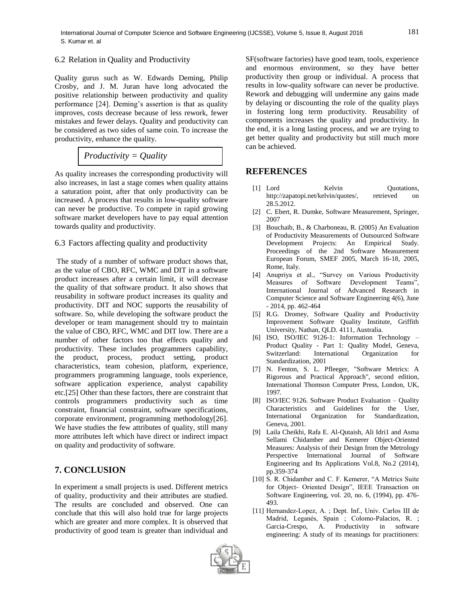## 6.2 Relation in Quality and Productivity

Quality gurus such as W. Edwards Deming, Philip Crosby, and J. M. Juran have long advocated the positive relationship between productivity and quality performance [24]. Deming"s assertion is that as quality improves, costs decrease because of less rework, fewer mistakes and fewer delays. Quality and productivity can be considered as two sides of same coin. To increase the productivity, enhance the quality.

$$
Productivity = Quality
$$

As quality increases the corresponding productivity will also increases, in last a stage comes when quality attains a saturation point, after that only productivity can be increased. A process that results in low-quality software can never be productive. To compete in rapid growing software market developers have to pay equal attention towards quality and productivity.

6.3 Factors affecting quality and productivity

The study of a number of software product shows that, as the value of CBO, RFC, WMC and DIT in a software product increases after a certain limit, it will decrease the quality of that software product. It also shows that reusability in software product increases its quality and productivity. DIT and NOC supports the reusability of software. So, while developing the software product the developer or team management should try to maintain the value of CBO, RFC, WMC and DIT low. There are a number of other factors too that effects quality and productivity. These includes programmers capability, the product, process, product setting, product characteristics, team cohesion, platform, experience, programmers programming language, tools experience, software application experience, analyst capability etc.[25] Other than these factors, there are constraint that controls programmers productivity such as time constraint, financial constraint, software specifications, corporate environment, programming methodology[26]. We have studies the few attributes of quality, still many more attributes left which have direct or indirect impact on quality and productivity of software.

# **7. CONCLUSION**

In experiment a small projects is used. Different metrics of quality, productivity and their attributes are studied. The results are concluded and observed. One can conclude that this will also hold true for large projects which are greater and more complex. It is observed that productivity of good team is greater than individual and SF(software factories) have good team, tools, experience and enormous environment, so they have better productivity then group or individual. A process that results in low-quality software can never be productive. Rework and debugging will undermine any gains made by delaying or discounting the role of the quality plays in fostering long term productivity. Reusability of components increases the quality and productivity. In the end, it is a long lasting process, and we are trying to get better quality and productivity but still much more can be achieved.

# **REFERENCES**

- [1] Lord Kelvin Quotations, http://zapatopi.net/kelvin/quotes/, retrieved on 28.5.2012.
- [2] C. Ebert, R. Dumke, Software Measurement, Springer, 2007
- [3] Bouchaib, B., & Charboneau, R. (2005) An Evaluation of Productivity Measurements of Outsourced Software Development Projects: An Empirical Study. Proceedings of the 2nd Software Measurement European Forum, SMEF 2005, March 16-18, 2005, Rome, Italy.
- [4] Anupriya et al., "Survey on Various Productivity Measures of Software Development Teams", International Journal of Advanced Research in Computer Science and Software Engineering 4(6), June - 2014, pp. 462-464
- [5] R.G. Dromey, Software Quality and Productivity Improvement Software Quality Institute, Griffith University, Nathan, QLD. 4111, Australia.
- [6] ISO, ISO/IEC 9126-1: Information Technology Product Quality - Part 1: Quality Model, Geneva, Switzerland: International Organization for Standardization, 2001
- [7] N. Fenton, S. L. Pfleeger, "Software Metrics: A Rigorous and Practical Approach", second edition, International Thomson Computer Press, London, UK, 1997.
- [8] ISO/IEC 9126. Software Product Evaluation Quality Characteristics and Guidelines for the User, International Organization for Standardization, Geneva, 2001.
- [9] Laila Cheikhi, Rafa E. Al-Qutaish, Ali Idri1 and Asma Sellami Chidamber and Kemerer Object-Oriented Measures: Analysis of their Design from the Metrology Perspective International Journal of Software Engineering and Its Applications Vol.8, No.2 (2014), pp.359-374
- [10] S. R. Chidamber and C. F. Kemerer, "A Metrics Suite for Object- Oriented Design", IEEE Transaction on Software Engineering, vol. 20, no. 6, (1994), pp. 476- 493.
- [11] Hernandez-Lopez, A. ; Dept. Inf., Univ. Carlos III de Madrid, Leganés, Spain ; Colomo-Palacios, R. ; Garcia-Crespo, A. Productivity in software engineering: A study of its meanings for practitioners: